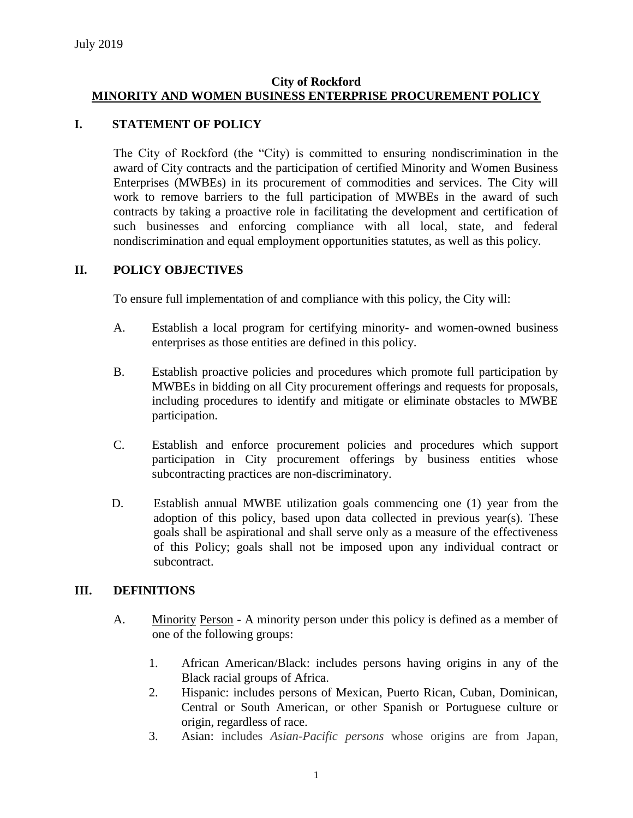## **City of Rockford MINORITY AND WOMEN BUSINESS ENTERPRISE PROCUREMENT POLICY**

## **I. STATEMENT OF POLICY**

The City of Rockford (the "City) is committed to ensuring nondiscrimination in the award of City contracts and the participation of certified Minority and Women Business Enterprises (MWBEs) in its procurement of commodities and services. The City will work to remove barriers to the full participation of MWBEs in the award of such contracts by taking a proactive role in facilitating the development and certification of such businesses and enforcing compliance with all local, state, and federal nondiscrimination and equal employment opportunities statutes, as well as this policy.

## **II. POLICY OBJECTIVES**

To ensure full implementation of and compliance with this policy, the City will:

- A. Establish a local program for certifying minority- and women-owned business enterprises as those entities are defined in this policy.
- B. Establish proactive policies and procedures which promote full participation by MWBEs in bidding on all City procurement offerings and requests for proposals, including procedures to identify and mitigate or eliminate obstacles to MWBE participation.
- C. Establish and enforce procurement policies and procedures which support participation in City procurement offerings by business entities whose subcontracting practices are non-discriminatory.
- D. Establish annual MWBE utilization goals commencing one (1) year from the adoption of this policy, based upon data collected in previous year(s). These goals shall be aspirational and shall serve only as a measure of the effectiveness of this Policy; goals shall not be imposed upon any individual contract or subcontract.

#### **III. DEFINITIONS**

- A. Minority Person A minority person under this policy is defined as a member of one of the following groups:
	- 1. African American/Black: includes persons having origins in any of the Black racial groups of Africa.
	- 2. Hispanic: includes persons of Mexican, Puerto Rican, Cuban, Dominican, Central or South American, or other Spanish or Portuguese culture or origin, regardless of race.
	- 3. Asian: includes *Asian-Pacific persons* whose origins are from Japan,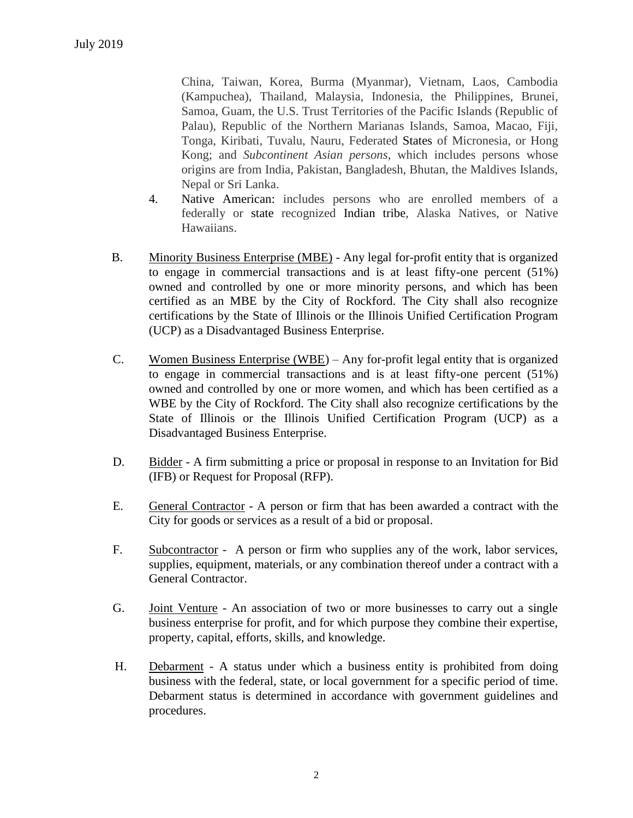China, Taiwan, Korea, Burma (Myanmar), Vietnam, Laos, Cambodia (Kampuchea), Thailand, Malaysia, Indonesia, the Philippines, Brunei, Samoa, Guam, the U.S. Trust Territories of the Pacific Islands (Republic of Palau), Republic of the Northern Marianas Islands, Samoa, Macao, Fiji, Tonga, Kiribati, Tuvalu, Nauru, Federated States of Micronesia, or Hong Kong; and *Subcontinent Asian persons*, which includes persons whose origins are from India, Pakistan, Bangladesh, Bhutan, the Maldives Islands, Nepal or Sri Lanka.

- 4. Native American: includes persons who are enrolled members of a federally or state recognized Indian tribe, Alaska Natives, or Native Hawaiians.
- B. Minority Business Enterprise (MBE) Any legal for-profit entity that is organized to engage in commercial transactions and is at least fifty-one percent (51%) owned and controlled by one or more minority persons, and which has been certified as an MBE by the City of Rockford. The City shall also recognize certifications by the State of Illinois or the Illinois Unified Certification Program (UCP) as a Disadvantaged Business Enterprise.
- C. Women Business Enterprise (WBE) Any for-profit legal entity that is organized to engage in commercial transactions and is at least fifty-one percent (51%) owned and controlled by one or more women, and which has been certified as a WBE by the City of Rockford. The City shall also recognize certifications by the State of Illinois or the Illinois Unified Certification Program (UCP) as a Disadvantaged Business Enterprise.
- D. Bidder A firm submitting a price or proposal in response to an Invitation for Bid (IFB) or Request for Proposal (RFP).
- E. General Contractor A person or firm that has been awarded a contract with the City for goods or services as a result of a bid or proposal.
- F. Subcontractor A person or firm who supplies any of the work, labor services, supplies, equipment, materials, or any combination thereof under a contract with a General Contractor.
- G. Joint Venture An association of two or more businesses to carry out a single business enterprise for profit, and for which purpose they combine their expertise, property, capital, efforts, skills, and knowledge.
- H. Debarment A status under which a business entity is prohibited from doing business with the federal, state, or local government for a specific period of time. Debarment status is determined in accordance with government guidelines and procedures.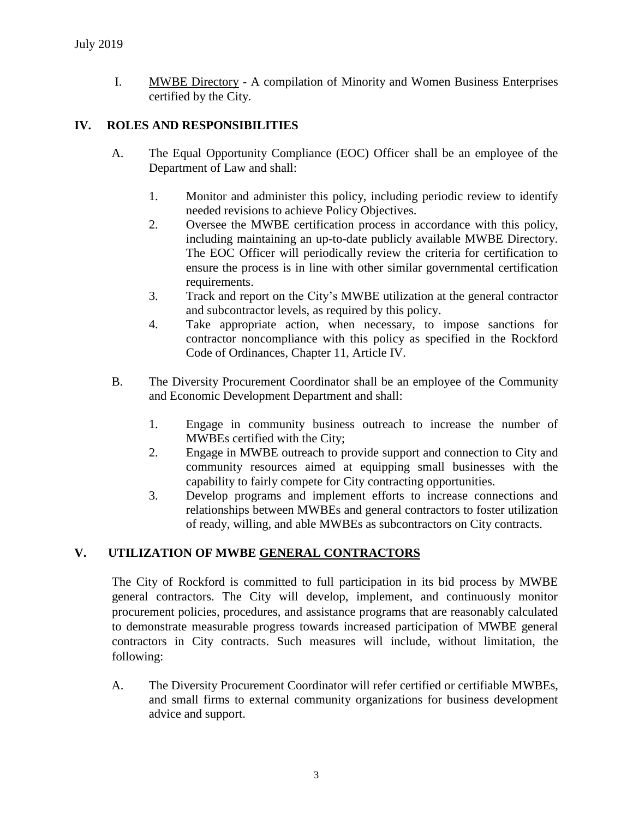I. MWBE Directory - A compilation of Minority and Women Business Enterprises certified by the City.

## **IV. ROLES AND RESPONSIBILITIES**

- A. The Equal Opportunity Compliance (EOC) Officer shall be an employee of the Department of Law and shall:
	- 1. Monitor and administer this policy, including periodic review to identify needed revisions to achieve Policy Objectives.
	- 2. Oversee the MWBE certification process in accordance with this policy, including maintaining an up-to-date publicly available MWBE Directory. The EOC Officer will periodically review the criteria for certification to ensure the process is in line with other similar governmental certification requirements.
	- 3. Track and report on the City's MWBE utilization at the general contractor and subcontractor levels, as required by this policy.
	- 4. Take appropriate action, when necessary, to impose sanctions for contractor noncompliance with this policy as specified in the Rockford Code of Ordinances, Chapter 11, Article IV.
- B. The Diversity Procurement Coordinator shall be an employee of the Community and Economic Development Department and shall:
	- 1. Engage in community business outreach to increase the number of MWBEs certified with the City;
	- 2. Engage in MWBE outreach to provide support and connection to City and community resources aimed at equipping small businesses with the capability to fairly compete for City contracting opportunities.
	- 3. Develop programs and implement efforts to increase connections and relationships between MWBEs and general contractors to foster utilization of ready, willing, and able MWBEs as subcontractors on City contracts.

# **V. UTILIZATION OF MWBE GENERAL CONTRACTORS**

The City of Rockford is committed to full participation in its bid process by MWBE general contractors. The City will develop, implement, and continuously monitor procurement policies, procedures, and assistance programs that are reasonably calculated to demonstrate measurable progress towards increased participation of MWBE general contractors in City contracts. Such measures will include, without limitation, the following:

A. The Diversity Procurement Coordinator will refer certified or certifiable MWBEs, and small firms to external community organizations for business development advice and support.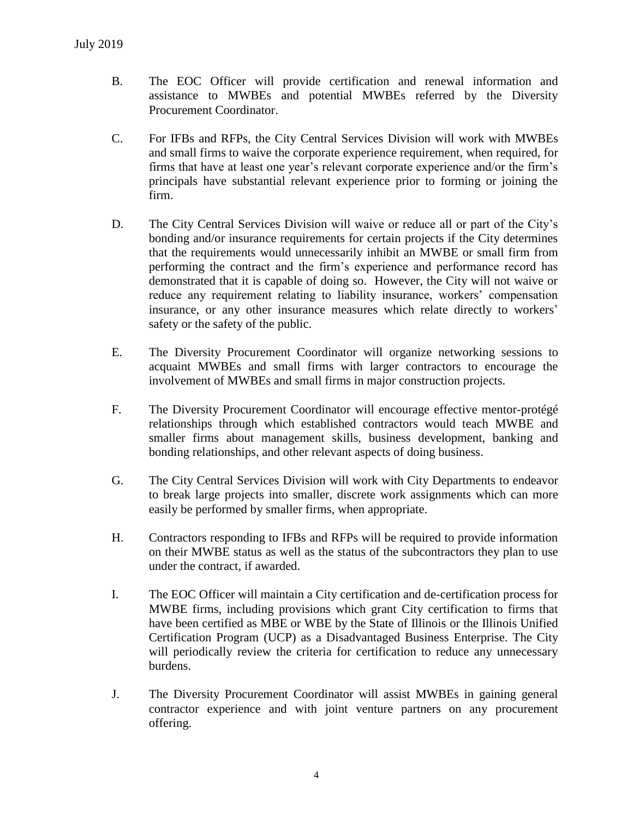- B. The EOC Officer will provide certification and renewal information and assistance to MWBEs and potential MWBEs referred by the Diversity Procurement Coordinator.
- C. For IFBs and RFPs, the City Central Services Division will work with MWBEs and small firms to waive the corporate experience requirement, when required, for firms that have at least one year's relevant corporate experience and/or the firm's principals have substantial relevant experience prior to forming or joining the firm.
- D. The City Central Services Division will waive or reduce all or part of the City's bonding and/or insurance requirements for certain projects if the City determines that the requirements would unnecessarily inhibit an MWBE or small firm from performing the contract and the firm's experience and performance record has demonstrated that it is capable of doing so. However, the City will not waive or reduce any requirement relating to liability insurance, workers' compensation insurance, or any other insurance measures which relate directly to workers' safety or the safety of the public.
- E. The Diversity Procurement Coordinator will organize networking sessions to acquaint MWBEs and small firms with larger contractors to encourage the involvement of MWBEs and small firms in major construction projects.
- F. The Diversity Procurement Coordinator will encourage effective mentor-protégé relationships through which established contractors would teach MWBE and smaller firms about management skills, business development, banking and bonding relationships, and other relevant aspects of doing business.
- G. The City Central Services Division will work with City Departments to endeavor to break large projects into smaller, discrete work assignments which can more easily be performed by smaller firms, when appropriate.
- H. Contractors responding to IFBs and RFPs will be required to provide information on their MWBE status as well as the status of the subcontractors they plan to use under the contract, if awarded.
- I. The EOC Officer will maintain a City certification and de-certification process for MWBE firms, including provisions which grant City certification to firms that have been certified as MBE or WBE by the State of Illinois or the Illinois Unified Certification Program (UCP) as a Disadvantaged Business Enterprise. The City will periodically review the criteria for certification to reduce any unnecessary burdens.
- J. The Diversity Procurement Coordinator will assist MWBEs in gaining general contractor experience and with joint venture partners on any procurement offering.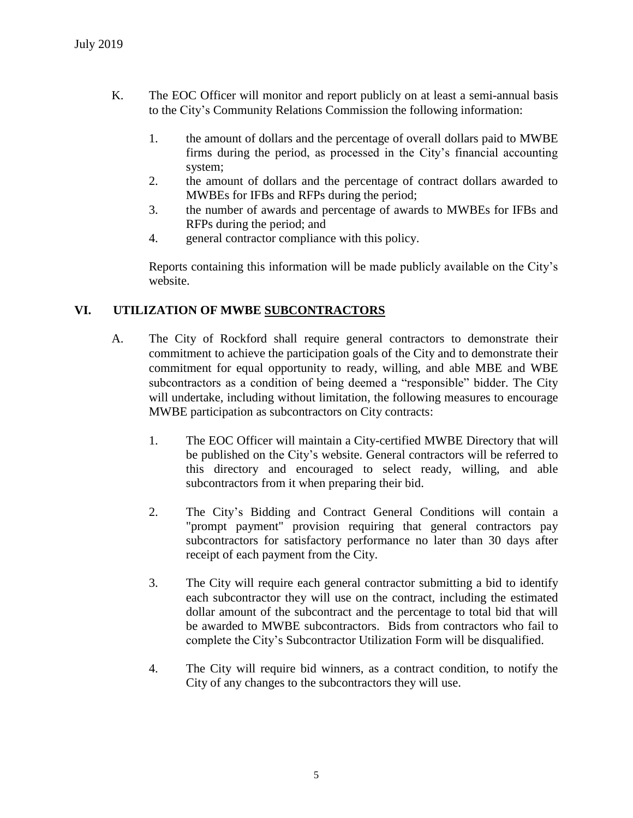- K. The EOC Officer will monitor and report publicly on at least a semi-annual basis to the City's Community Relations Commission the following information:
	- 1. the amount of dollars and the percentage of overall dollars paid to MWBE firms during the period, as processed in the City's financial accounting system;
	- 2. the amount of dollars and the percentage of contract dollars awarded to MWBEs for IFBs and RFPs during the period;
	- 3. the number of awards and percentage of awards to MWBEs for IFBs and RFPs during the period; and
	- 4. general contractor compliance with this policy.

Reports containing this information will be made publicly available on the City's website.

## **VI. UTILIZATION OF MWBE SUBCONTRACTORS**

- A. The City of Rockford shall require general contractors to demonstrate their commitment to achieve the participation goals of the City and to demonstrate their commitment for equal opportunity to ready, willing, and able MBE and WBE subcontractors as a condition of being deemed a "responsible" bidder. The City will undertake, including without limitation, the following measures to encourage MWBE participation as subcontractors on City contracts:
	- 1. The EOC Officer will maintain a City-certified MWBE Directory that will be published on the City's website. General contractors will be referred to this directory and encouraged to select ready, willing, and able subcontractors from it when preparing their bid.
	- 2. The City's Bidding and Contract General Conditions will contain a "prompt payment" provision requiring that general contractors pay subcontractors for satisfactory performance no later than 30 days after receipt of each payment from the City.
	- 3. The City will require each general contractor submitting a bid to identify each subcontractor they will use on the contract, including the estimated dollar amount of the subcontract and the percentage to total bid that will be awarded to MWBE subcontractors. Bids from contractors who fail to complete the City's Subcontractor Utilization Form will be disqualified.
	- 4. The City will require bid winners, as a contract condition, to notify the City of any changes to the subcontractors they will use.